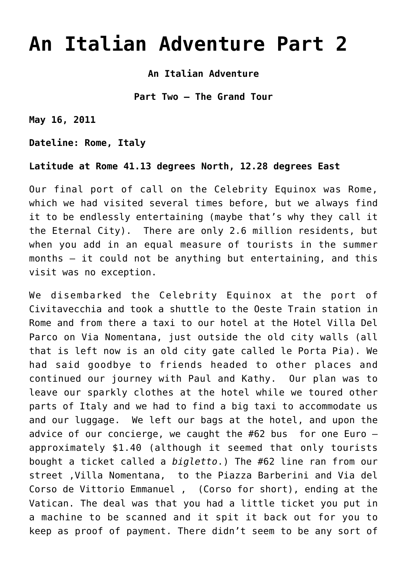# **[An Italian Adventure Part 2](https://thewanderingstar.net/an-italian-adventure-part-2/)**

**An Italian Adventure**

**Part Two – The Grand Tour**

**May 16, 2011**

**Dateline: Rome, Italy**

**Latitude at Rome 41.13 degrees North, 12.28 degrees East**

Our final port of call on the Celebrity Equinox was Rome, which we had visited several times before, but we always find it to be endlessly entertaining (maybe that's why they call it the Eternal City). There are only 2.6 million residents, but when you add in an equal measure of tourists in the summer months – it could not be anything but entertaining, and this visit was no exception.

We disembarked the Celebrity Equinox at the port of Civitavecchia and took a shuttle to the Oeste Train station in Rome and from there a taxi to our hotel at the Hotel Villa Del Parco on Via Nomentana, just outside the old city walls (all that is left now is an old city gate called le Porta Pia). We had said goodbye to friends headed to other places and continued our journey with Paul and Kathy. Our plan was to leave our sparkly clothes at the hotel while we toured other parts of Italy and we had to find a big taxi to accommodate us and our luggage. We left our bags at the hotel, and upon the advice of our concierge, we caught the  $#62$  bus for one Euro  $$ approximately \$1.40 (although it seemed that only tourists bought a ticket called a *bigletto*.) The #62 line ran from our street ,Villa Nomentana, to the Piazza Barberini and Via del Corso de Vittorio Emmanuel , (Corso for short), ending at the Vatican. The deal was that you had a little ticket you put in a machine to be scanned and it spit it back out for you to keep as proof of payment. There didn't seem to be any sort of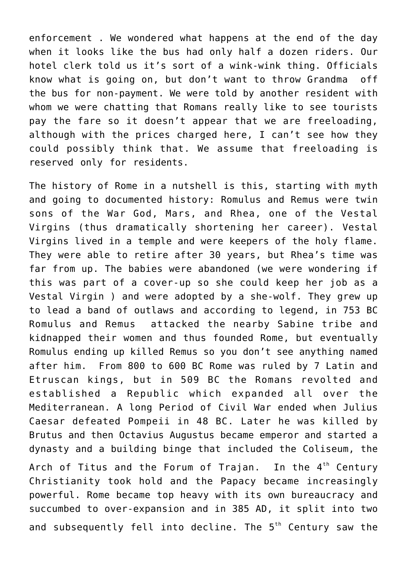enforcement . We wondered what happens at the end of the day when it looks like the bus had only half a dozen riders. Our hotel clerk told us it's sort of a wink-wink thing. Officials know what is going on, but don't want to throw Grandma off the bus for non-payment. We were told by another resident with whom we were chatting that Romans really like to see tourists pay the fare so it doesn't appear that we are freeloading, although with the prices charged here, I can't see how they could possibly think that. We assume that freeloading is reserved only for residents.

The history of Rome in a nutshell is this, starting with myth and going to documented history: Romulus and Remus were twin sons of the War God, Mars, and Rhea, one of the Vestal Virgins (thus dramatically shortening her career). Vestal Virgins lived in a temple and were keepers of the holy flame. They were able to retire after 30 years, but Rhea's time was far from up. The babies were abandoned (we were wondering if this was part of a cover-up so she could keep her job as a Vestal Virgin ) and were adopted by a she-wolf. They grew up to lead a band of outlaws and according to legend, in 753 BC Romulus and Remus attacked the nearby Sabine tribe and kidnapped their women and thus founded Rome, but eventually Romulus ending up killed Remus so you don't see anything named after him. From 800 to 600 BC Rome was ruled by 7 Latin and Etruscan kings, but in 509 BC the Romans revolted and established a Republic which expanded all over the Mediterranean. A long Period of Civil War ended when Julius Caesar defeated Pompeii in 48 BC. Later he was killed by Brutus and then Octavius Augustus became emperor and started a dynasty and a building binge that included the Coliseum, the

Arch of Titus and the Forum of Trajan. In the  $4<sup>th</sup>$  Century Christianity took hold and the Papacy became increasingly powerful. Rome became top heavy with its own bureaucracy and succumbed to over-expansion and in 385 AD, it split into two and subsequently fell into decline. The  $5<sup>th</sup>$  Century saw the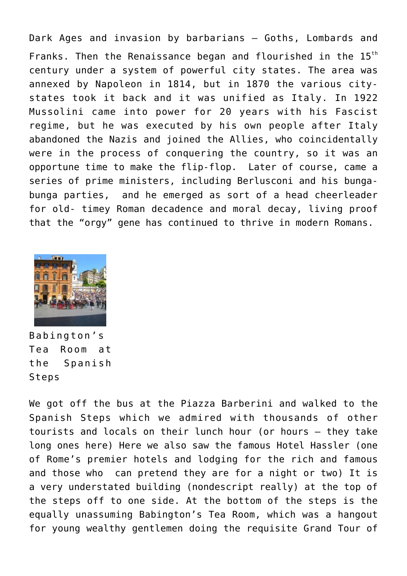Dark Ages and invasion by barbarians – Goths, Lombards and Franks. Then the Renaissance began and flourished in the 15<sup>th</sup> century under a system of powerful city states. The area was annexed by Napoleon in 1814, but in 1870 the various citystates took it back and it was unified as Italy. In 1922 Mussolini came into power for 20 years with his Fascist regime, but he was executed by his own people after Italy abandoned the Nazis and joined the Allies, who coincidentally were in the process of conquering the country, so it was an opportune time to make the flip-flop. Later of course, came a series of prime ministers, including Berlusconi and his bungabunga parties, and he emerged as sort of a head cheerleader for old- timey Roman decadence and moral decay, living proof that the "orgy" gene has continued to thrive in modern Romans.



Babington's Tea Room at the Spanish Steps

We got off the bus at the Piazza Barberini and walked to the Spanish Steps which we admired with thousands of other tourists and locals on their lunch hour (or hours – they take long ones here) Here we also saw the famous Hotel Hassler (one of Rome's premier hotels and lodging for the rich and famous and those who can pretend they are for a night or two) It is a very understated building (nondescript really) at the top of the steps off to one side. At the bottom of the steps is the equally unassuming Babington's Tea Room, which was a hangout for young wealthy gentlemen doing the requisite Grand Tour of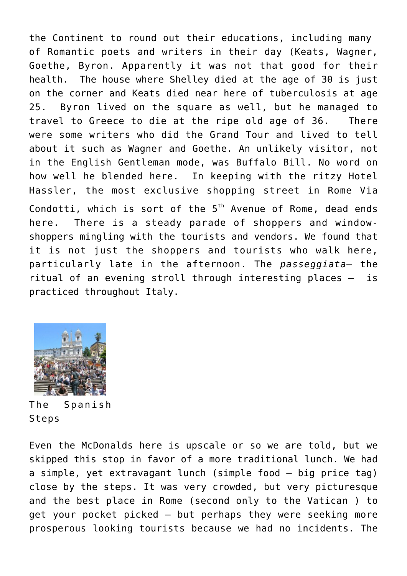the Continent to round out their educations, including many of Romantic poets and writers in their day (Keats, Wagner, Goethe, Byron. Apparently it was not that good for their health. The house where Shelley died at the age of 30 is just on the corner and Keats died near here of tuberculosis at age 25. Byron lived on the square as well, but he managed to travel to Greece to die at the ripe old age of 36. There were some writers who did the Grand Tour and lived to tell about it such as Wagner and Goethe. An unlikely visitor, not in the English Gentleman mode, was Buffalo Bill. No word on how well he blended here. In keeping with the ritzy Hotel Hassler, the most exclusive shopping street in Rome Via Condotti, which is sort of the  $5<sup>th</sup>$  Avenue of Rome, dead ends here. There is a steady parade of shoppers and windowshoppers mingling with the tourists and vendors. We found that it is not just the shoppers and tourists who walk here, particularly late in the afternoon. The *passeggiata*– the ritual of an evening stroll through interesting places – is practiced throughout Italy.



The Spanish Steps

Even the McDonalds here is upscale or so we are told, but we skipped this stop in favor of a more traditional lunch. We had a simple, yet extravagant lunch (simple food – big price tag) close by the steps. It was very crowded, but very picturesque and the best place in Rome (second only to the Vatican ) to get your pocket picked – but perhaps they were seeking more prosperous looking tourists because we had no incidents. The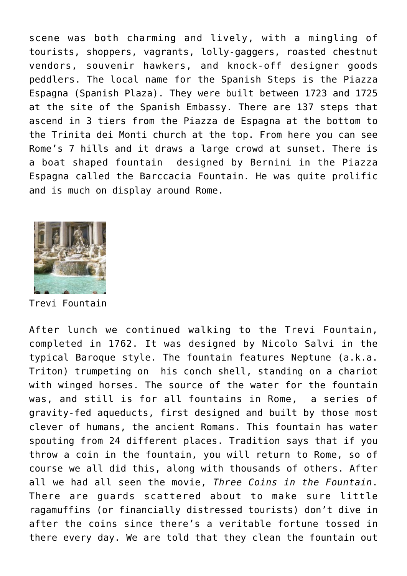scene was both charming and lively, with a mingling of tourists, shoppers, vagrants, lolly-gaggers, roasted chestnut vendors, souvenir hawkers, and knock-off designer goods peddlers. The local name for the Spanish Steps is the Piazza Espagna (Spanish Plaza). They were built between 1723 and 1725 at the site of the Spanish Embassy. There are 137 steps that ascend in 3 tiers from the Piazza de Espagna at the bottom to the Trinita dei Monti church at the top. From here you can see Rome's 7 hills and it draws a large crowd at sunset. There is a boat shaped fountain designed by Bernini in the Piazza Espagna called the Barccacia Fountain. He was quite prolific and is much on display around Rome.



Trevi Fountain

After lunch we continued walking to the Trevi Fountain, completed in 1762. It was designed by Nicolo Salvi in the typical Baroque style. The fountain features Neptune (a.k.a. Triton) trumpeting on his conch shell, standing on a chariot with winged horses. The source of the water for the fountain was, and still is for all fountains in Rome, a series of gravity-fed aqueducts, first designed and built by those most clever of humans, the ancient Romans. This fountain has water spouting from 24 different places. Tradition says that if you throw a coin in the fountain, you will return to Rome, so of course we all did this, along with thousands of others. After all we had all seen the movie, *Three Coins in the Fountain*. There are guards scattered about to make sure little ragamuffins (or financially distressed tourists) don't dive in after the coins since there's a veritable fortune tossed in there every day. We are told that they clean the fountain out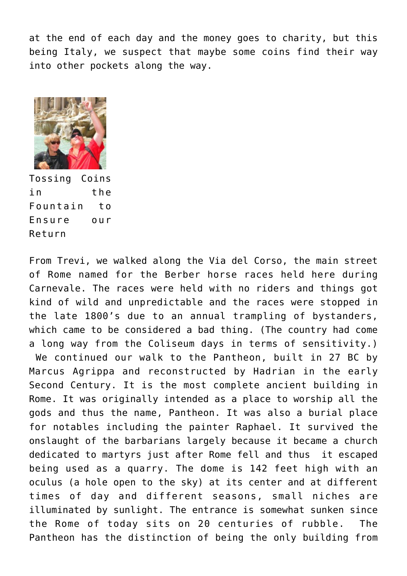at the end of each day and the money goes to charity, but this being Italy, we suspect that maybe some coins find their way into other pockets along the way.



Tossing Coins in the Fountain to Ensure our Return

From Trevi, we walked along the Via del Corso, the main street of Rome named for the Berber horse races held here during Carnevale. The races were held with no riders and things got kind of wild and unpredictable and the races were stopped in the late 1800's due to an annual trampling of bystanders, which came to be considered a bad thing. (The country had come a long way from the Coliseum days in terms of sensitivity.)

 We continued our walk to the Pantheon, built in 27 BC by Marcus Agrippa and reconstructed by Hadrian in the early Second Century. It is the most complete ancient building in Rome. It was originally intended as a place to worship all the gods and thus the name, Pantheon. It was also a burial place for notables including the painter Raphael. It survived the onslaught of the barbarians largely because it became a church dedicated to martyrs just after Rome fell and thus it escaped being used as a quarry. The dome is 142 feet high with an oculus (a hole open to the sky) at its center and at different times of day and different seasons, small niches are illuminated by sunlight. The entrance is somewhat sunken since the Rome of today sits on 20 centuries of rubble. The Pantheon has the distinction of being the only building from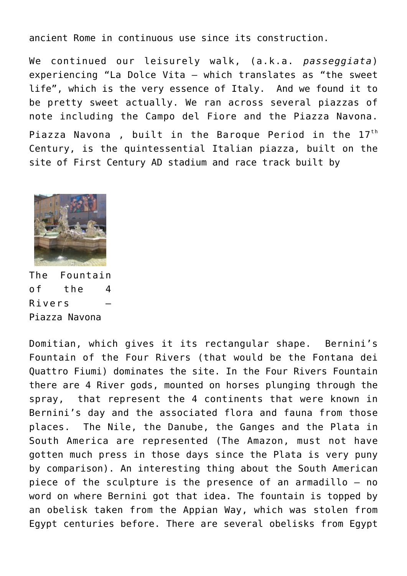ancient Rome in continuous use since its construction.

We continued our leisurely walk, (a.k.a. *passeggiata*) experiencing "La Dolce Vita – which translates as "the sweet life", which is the very essence of Italy. And we found it to be pretty sweet actually. We ran across several piazzas of note including the Campo del Fiore and the Piazza Navona. Piazza Navona, built in the Baroque Period in the  $17<sup>th</sup>$ Century, is the quintessential Italian piazza, built on the site of First Century AD stadium and race track built by



The Fountain of the 4 Rivers – Piazza Navona

Domitian, which gives it its rectangular shape. Bernini's Fountain of the Four Rivers (that would be the Fontana dei Quattro Fiumi) dominates the site. In the Four Rivers Fountain there are 4 River gods, mounted on horses plunging through the spray, that represent the 4 continents that were known in Bernini's day and the associated flora and fauna from those places. The Nile, the Danube, the Ganges and the Plata in South America are represented (The Amazon, must not have gotten much press in those days since the Plata is very puny by comparison). An interesting thing about the South American piece of the sculpture is the presence of an armadillo – no word on where Bernini got that idea. The fountain is topped by an obelisk taken from the Appian Way, which was stolen from Egypt centuries before. There are several obelisks from Egypt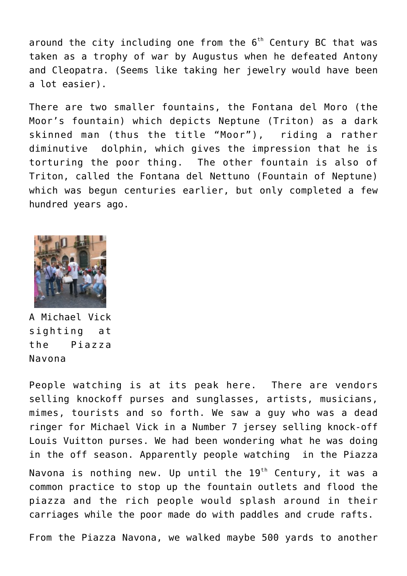around the city including one from the  $6<sup>th</sup>$  Century BC that was taken as a trophy of war by Augustus when he defeated Antony and Cleopatra. (Seems like taking her jewelry would have been a lot easier).

There are two smaller fountains, the Fontana del Moro (the Moor's fountain) which depicts Neptune (Triton) as a dark skinned man (thus the title "Moor"), riding a rather diminutive dolphin, which gives the impression that he is torturing the poor thing. The other fountain is also of Triton, called the Fontana del Nettuno (Fountain of Neptune) which was begun centuries earlier, but only completed a few hundred years ago.



A Michael Vick sighting at the Piazza Navona

People watching is at its peak here. There are vendors selling knockoff purses and sunglasses, artists, musicians, mimes, tourists and so forth. We saw a guy who was a dead ringer for Michael Vick in a Number 7 jersey selling knock-off Louis Vuitton purses. We had been wondering what he was doing in the off season. Apparently people watching in the Piazza Navona is nothing new. Up until the  $19<sup>th</sup>$  Century, it was a common practice to stop up the fountain outlets and flood the piazza and the rich people would splash around in their carriages while the poor made do with paddles and crude rafts.

From the Piazza Navona, we walked maybe 500 yards to another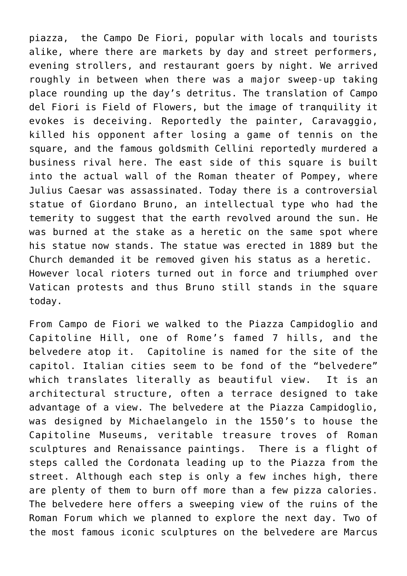piazza, the Campo De Fiori, popular with locals and tourists alike, where there are markets by day and street performers, evening strollers, and restaurant goers by night. We arrived roughly in between when there was a major sweep-up taking place rounding up the day's detritus. The translation of Campo del Fiori is Field of Flowers, but the image of tranquility it evokes is deceiving. Reportedly the painter, Caravaggio, killed his opponent after losing a game of tennis on the square, and the famous goldsmith Cellini reportedly murdered a business rival here. The east side of this square is built into the actual wall of the Roman theater of Pompey, where Julius Caesar was assassinated. Today there is a controversial statue of Giordano Bruno, an intellectual type who had the temerity to suggest that the earth revolved around the sun. He was burned at the stake as a heretic on the same spot where his statue now stands. The statue was erected in 1889 but the Church demanded it be removed given his status as a heretic. However local rioters turned out in force and triumphed over Vatican protests and thus Bruno still stands in the square today.

From Campo de Fiori we walked to the Piazza Campidoglio and Capitoline Hill, one of Rome's famed 7 hills, and the belvedere atop it. Capitoline is named for the site of the capitol. Italian cities seem to be fond of the "belvedere" which translates literally as beautiful view. It is an architectural structure, often a terrace designed to take advantage of a view. The belvedere at the Piazza Campidoglio, was designed by Michaelangelo in the 1550's to house the Capitoline Museums, veritable treasure troves of Roman sculptures and Renaissance paintings. There is a flight of steps called the Cordonata leading up to the Piazza from the street. Although each step is only a few inches high, there are plenty of them to burn off more than a few pizza calories. The belvedere here offers a sweeping view of the ruins of the Roman Forum which we planned to explore the next day. Two of the most famous iconic sculptures on the belvedere are Marcus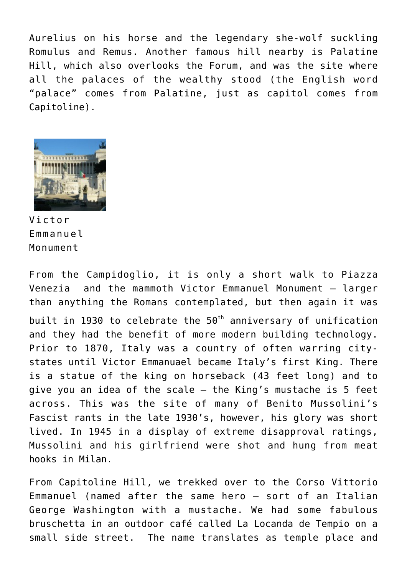Aurelius on his horse and the legendary she-wolf suckling Romulus and Remus. Another famous hill nearby is Palatine Hill, which also overlooks the Forum, and was the site where all the palaces of the wealthy stood (the English word "palace" comes from Palatine, just as capitol comes from Capitoline).



Victor Emmanuel Monument

From the Campidoglio, it is only a short walk to Piazza Venezia and the mammoth Victor Emmanuel Monument – larger than anything the Romans contemplated, but then again it was built in 1930 to celebrate the  $50<sup>th</sup>$  anniversary of unification and they had the benefit of more modern building technology. Prior to 1870, Italy was a country of often warring citystates until Victor Emmanuael became Italy's first King. There is a statue of the king on horseback (43 feet long) and to give you an idea of the scale – the King's mustache is 5 feet across. This was the site of many of Benito Mussolini's Fascist rants in the late 1930's, however, his glory was short lived. In 1945 in a display of extreme disapproval ratings, Mussolini and his girlfriend were shot and hung from meat hooks in Milan.

From Capitoline Hill, we trekked over to the Corso Vittorio Emmanuel (named after the same hero – sort of an Italian George Washington with a mustache. We had some fabulous bruschetta in an outdoor café called La Locanda de Tempio on a small side street. The name translates as temple place and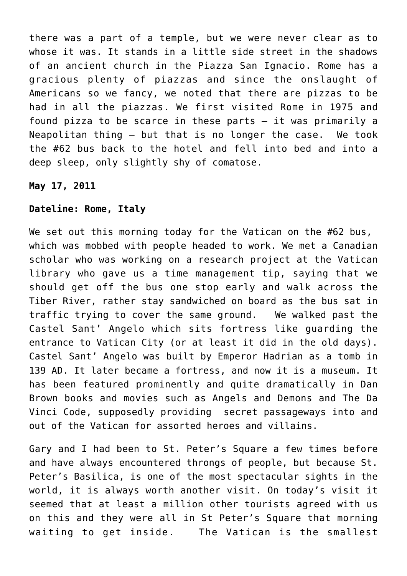there was a part of a temple, but we were never clear as to whose it was. It stands in a little side street in the shadows of an ancient church in the Piazza San Ignacio. Rome has a gracious plenty of piazzas and since the onslaught of Americans so we fancy, we noted that there are pizzas to be had in all the piazzas. We first visited Rome in 1975 and found pizza to be scarce in these parts – it was primarily a Neapolitan thing – but that is no longer the case. We took the #62 bus back to the hotel and fell into bed and into a deep sleep, only slightly shy of comatose.

**May 17, 2011**

## **Dateline: Rome, Italy**

We set out this morning today for the Vatican on the #62 bus, which was mobbed with people headed to work. We met a Canadian scholar who was working on a research project at the Vatican library who gave us a time management tip, saying that we should get off the bus one stop early and walk across the Tiber River, rather stay sandwiched on board as the bus sat in traffic trying to cover the same ground. We walked past the Castel Sant' Angelo which sits fortress like guarding the entrance to Vatican City (or at least it did in the old days). Castel Sant' Angelo was built by Emperor Hadrian as a tomb in 139 AD. It later became a fortress, and now it is a museum. It has been featured prominently and quite dramatically in Dan Brown books and movies such as Angels and Demons and The Da Vinci Code, supposedly providing secret passageways into and out of the Vatican for assorted heroes and villains.

Gary and I had been to St. Peter's Square a few times before and have always encountered throngs of people, but because St. Peter's Basilica, is one of the most spectacular sights in the world, it is always worth another visit. On today's visit it seemed that at least a million other tourists agreed with us on this and they were all in St Peter's Square that morning waiting to get inside. The Vatican is the smallest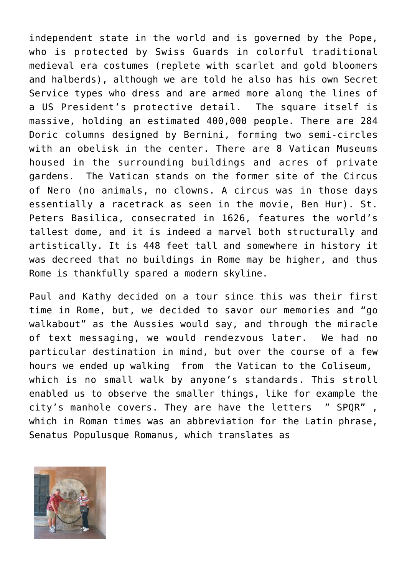independent state in the world and is governed by the Pope, who is protected by Swiss Guards in colorful traditional medieval era costumes (replete with scarlet and gold bloomers and halberds), although we are told he also has his own Secret Service types who dress and are armed more along the lines of a US President's protective detail. The square itself is massive, holding an estimated 400,000 people. There are 284 Doric columns designed by Bernini, forming two semi-circles with an obelisk in the center. There are 8 Vatican Museums housed in the surrounding buildings and acres of private gardens. The Vatican stands on the former site of the Circus of Nero (no animals, no clowns. A circus was in those days essentially a racetrack as seen in the movie, Ben Hur). St. Peters Basilica, consecrated in 1626, features the world's tallest dome, and it is indeed a marvel both structurally and artistically. It is 448 feet tall and somewhere in history it was decreed that no buildings in Rome may be higher, and thus Rome is thankfully spared a modern skyline.

Paul and Kathy decided on a tour since this was their first time in Rome, but, we decided to savor our memories and "go walkabout" as the Aussies would say, and through the miracle of text messaging, we would rendezvous later. We had no particular destination in mind, but over the course of a few hours we ended up walking from the Vatican to the Coliseum, which is no small walk by anyone's standards. This stroll enabled us to observe the smaller things, like for example the city's manhole covers. They are have the letters " SPQR" , which in Roman times was an abbreviation for the Latin phrase, Senatus Populusque Romanus, which translates as

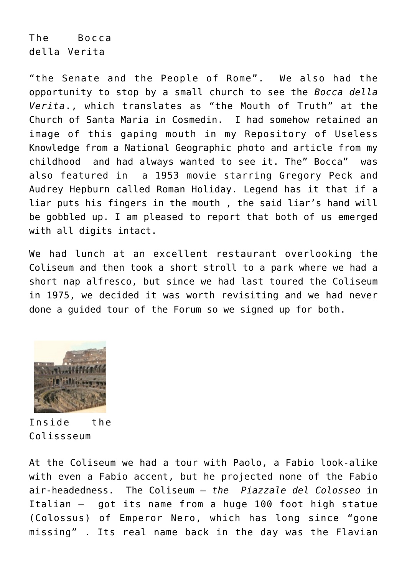The Bocca della Verita

"the Senate and the People of Rome". We also had the opportunity to stop by a small church to see the *Bocca della Verita*., which translates as "the Mouth of Truth" at the Church of Santa Maria in Cosmedin. I had somehow retained an image of this gaping mouth in my Repository of Useless Knowledge from a National Geographic photo and article from my childhood and had always wanted to see it. The" Bocca" was also featured in a 1953 movie starring Gregory Peck and Audrey Hepburn called Roman Holiday. Legend has it that if a liar puts his fingers in the mouth , the said liar's hand will be gobbled up. I am pleased to report that both of us emerged with all digits intact.

We had lunch at an excellent restaurant overlooking the Coliseum and then took a short stroll to a park where we had a short nap alfresco, but since we had last toured the Coliseum in 1975, we decided it was worth revisiting and we had never done a guided tour of the Forum so we signed up for both.



Inside the Colissseum

At the Coliseum we had a tour with Paolo, a Fabio look-alike with even a Fabio accent, but he projected none of the Fabio air-headedness. The Coliseum – *the Piazzale del Colosseo* in Italian – got its name from a huge 100 foot high statue (Colossus) of Emperor Nero, which has long since "gone missing" . Its real name back in the day was the Flavian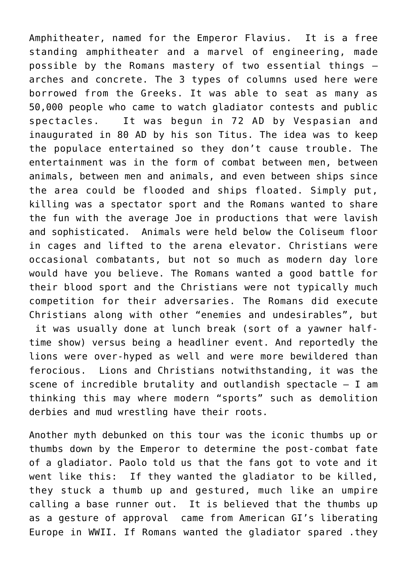Amphitheater, named for the Emperor Flavius. It is a free standing amphitheater and a marvel of engineering, made possible by the Romans mastery of two essential things – arches and concrete. The 3 types of columns used here were borrowed from the Greeks. It was able to seat as many as 50,000 people who came to watch gladiator contests and public spectacles. It was begun in 72 AD by Vespasian and inaugurated in 80 AD by his son Titus. The idea was to keep the populace entertained so they don't cause trouble. The entertainment was in the form of combat between men, between animals, between men and animals, and even between ships since the area could be flooded and ships floated. Simply put, killing was a spectator sport and the Romans wanted to share the fun with the average Joe in productions that were lavish and sophisticated. Animals were held below the Coliseum floor in cages and lifted to the arena elevator. Christians were occasional combatants, but not so much as modern day lore would have you believe. The Romans wanted a good battle for their blood sport and the Christians were not typically much competition for their adversaries. The Romans did execute Christians along with other "enemies and undesirables", but it was usually done at lunch break (sort of a yawner halftime show) versus being a headliner event. And reportedly the lions were over-hyped as well and were more bewildered than ferocious. Lions and Christians notwithstanding, it was the scene of incredible brutality and outlandish spectacle – I am thinking this may where modern "sports" such as demolition derbies and mud wrestling have their roots.

Another myth debunked on this tour was the iconic thumbs up or thumbs down by the Emperor to determine the post-combat fate of a gladiator. Paolo told us that the fans got to vote and it went like this: If they wanted the gladiator to be killed, they stuck a thumb up and gestured, much like an umpire calling a base runner out. It is believed that the thumbs up as a gesture of approval came from American GI's liberating Europe in WWII. If Romans wanted the gladiator spared .they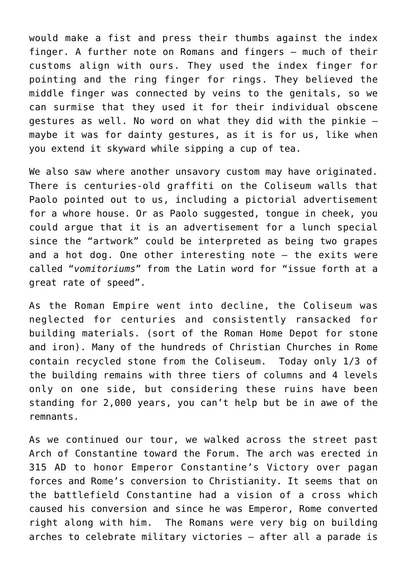would make a fist and press their thumbs against the index finger. A further note on Romans and fingers – much of their customs align with ours. They used the index finger for pointing and the ring finger for rings. They believed the middle finger was connected by veins to the genitals, so we can surmise that they used it for their individual obscene gestures as well. No word on what they did with the pinkie – maybe it was for dainty gestures, as it is for us, like when you extend it skyward while sipping a cup of tea.

We also saw where another unsavory custom may have originated. There is centuries-old graffiti on the Coliseum walls that Paolo pointed out to us, including a pictorial advertisement for a whore house. Or as Paolo suggested, tongue in cheek, you could argue that it is an advertisement for a lunch special since the "artwork" could be interpreted as being two grapes and a hot dog. One other interesting note – the exits were called "*vomitoriums*" from the Latin word for "issue forth at a great rate of speed".

As the Roman Empire went into decline, the Coliseum was neglected for centuries and consistently ransacked for building materials. (sort of the Roman Home Depot for stone and iron). Many of the hundreds of Christian Churches in Rome contain recycled stone from the Coliseum. Today only 1/3 of the building remains with three tiers of columns and 4 levels only on one side, but considering these ruins have been standing for 2,000 years, you can't help but be in awe of the remnants.

As we continued our tour, we walked across the street past Arch of Constantine toward the Forum. The arch was erected in 315 AD to honor Emperor Constantine's Victory over pagan forces and Rome's conversion to Christianity. It seems that on the battlefield Constantine had a vision of a cross which caused his conversion and since he was Emperor, Rome converted right along with him. The Romans were very big on building arches to celebrate military victories – after all a parade is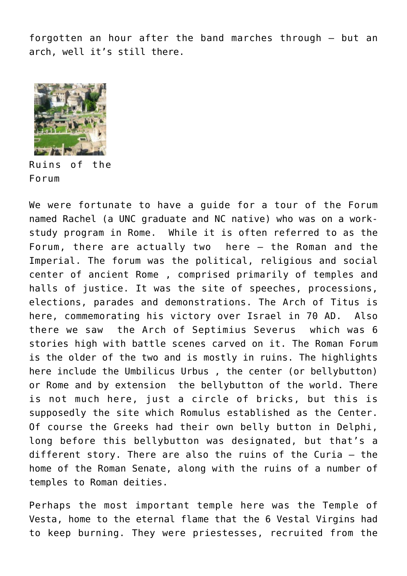forgotten an hour after the band marches through – but an arch, well it's still there.



Ruins of the Forum

We were fortunate to have a guide for a tour of the Forum named Rachel (a UNC graduate and NC native) who was on a workstudy program in Rome. While it is often referred to as the Forum, there are actually two here – the Roman and the Imperial. The forum was the political, religious and social center of ancient Rome , comprised primarily of temples and halls of justice. It was the site of speeches, processions, elections, parades and demonstrations. The Arch of Titus is here, commemorating his victory over Israel in 70 AD. Also there we saw the Arch of Septimius Severus which was 6 stories high with battle scenes carved on it. The Roman Forum is the older of the two and is mostly in ruins. The highlights here include the Umbilicus Urbus , the center (or bellybutton) or Rome and by extension the bellybutton of the world. There is not much here, just a circle of bricks, but this is supposedly the site which Romulus established as the Center. Of course the Greeks had their own belly button in Delphi, long before this bellybutton was designated, but that's a different story. There are also the ruins of the Curia – the home of the Roman Senate, along with the ruins of a number of temples to Roman deities.

Perhaps the most important temple here was the Temple of Vesta, home to the eternal flame that the 6 Vestal Virgins had to keep burning. They were priestesses, recruited from the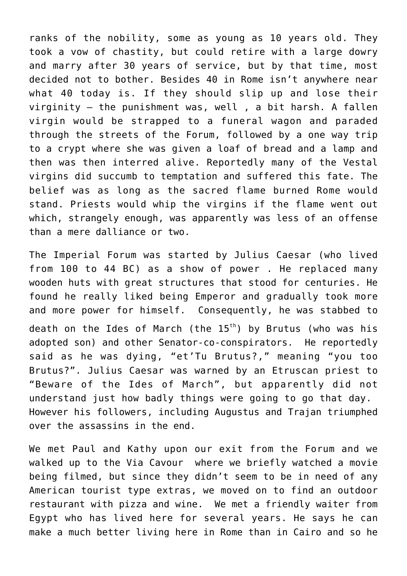ranks of the nobility, some as young as 10 years old. They took a vow of chastity, but could retire with a large dowry and marry after 30 years of service, but by that time, most decided not to bother. Besides 40 in Rome isn't anywhere near what 40 today is. If they should slip up and lose their virginity – the punishment was, well , a bit harsh. A fallen virgin would be strapped to a funeral wagon and paraded through the streets of the Forum, followed by a one way trip to a crypt where she was given a loaf of bread and a lamp and then was then interred alive. Reportedly many of the Vestal virgins did succumb to temptation and suffered this fate. The belief was as long as the sacred flame burned Rome would stand. Priests would whip the virgins if the flame went out which, strangely enough, was apparently was less of an offense than a mere dalliance or two.

The Imperial Forum was started by Julius Caesar (who lived from 100 to 44 BC) as a show of power . He replaced many wooden huts with great structures that stood for centuries. He found he really liked being Emperor and gradually took more and more power for himself. Consequently, he was stabbed to death on the Ides of March (the  $15<sup>th</sup>$ ) by Brutus (who was his adopted son) and other Senator-co-conspirators. He reportedly said as he was dying, "et'Tu Brutus?," meaning "you too Brutus?". Julius Caesar was warned by an Etruscan priest to "Beware of the Ides of March", but apparently did not understand just how badly things were going to go that day. However his followers, including Augustus and Trajan triumphed over the assassins in the end.

We met Paul and Kathy upon our exit from the Forum and we walked up to the Via Cavour where we briefly watched a movie being filmed, but since they didn't seem to be in need of any American tourist type extras, we moved on to find an outdoor restaurant with pizza and wine. We met a friendly waiter from Egypt who has lived here for several years. He says he can make a much better living here in Rome than in Cairo and so he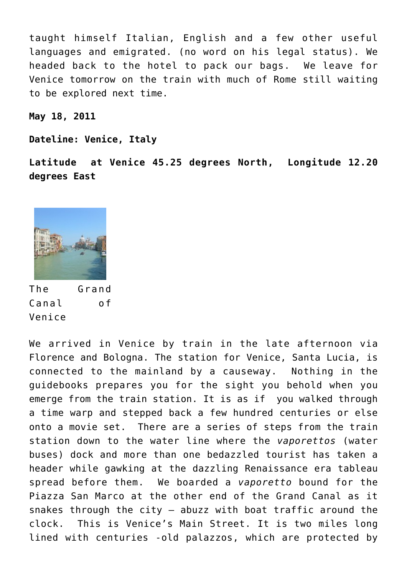taught himself Italian, English and a few other useful languages and emigrated. (no word on his legal status). We headed back to the hotel to pack our bags. We leave for Venice tomorrow on the train with much of Rome still waiting to be explored next time.

**May 18, 2011**

**Dateline: Venice, Italy**

**Latitude at Venice 45.25 degrees North, Longitude 12.20 degrees East**



The Grand Canal of Venice

We arrived in Venice by train in the late afternoon via Florence and Bologna. The station for Venice, Santa Lucia, is connected to the mainland by a causeway. Nothing in the guidebooks prepares you for the sight you behold when you emerge from the train station. It is as if you walked through a time warp and stepped back a few hundred centuries or else onto a movie set. There are a series of steps from the train station down to the water line where the *vaporettos* (water buses) dock and more than one bedazzled tourist has taken a header while gawking at the dazzling Renaissance era tableau spread before them. We boarded a *vaporetto* bound for the Piazza San Marco at the other end of the Grand Canal as it snakes through the city – abuzz with boat traffic around the clock. This is Venice's Main Street. It is two miles long lined with centuries -old palazzos, which are protected by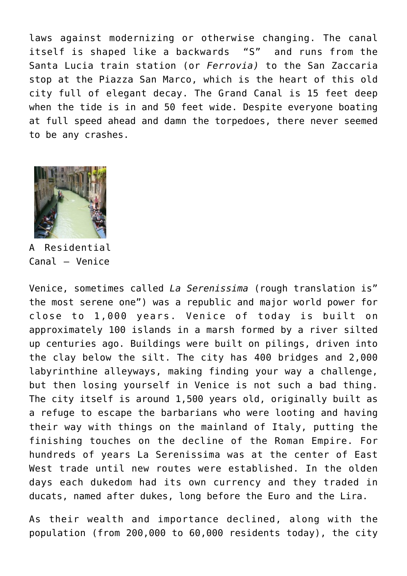laws against modernizing or otherwise changing. The canal itself is shaped like a backwards "S" and runs from the Santa Lucia train station (or *Ferrovia)* to the San Zaccaria stop at the Piazza San Marco, which is the heart of this old city full of elegant decay. The Grand Canal is 15 feet deep when the tide is in and 50 feet wide. Despite everyone boating at full speed ahead and damn the torpedoes, there never seemed to be any crashes.



A Residential Canal – Venice

Venice, sometimes called *La Serenissima* (rough translation is" the most serene one") was a republic and major world power for close to 1,000 years. Venice of today is built on approximately 100 islands in a marsh formed by a river silted up centuries ago. Buildings were built on pilings, driven into the clay below the silt. The city has 400 bridges and 2,000 labyrinthine alleyways, making finding your way a challenge, but then losing yourself in Venice is not such a bad thing. The city itself is around 1,500 years old, originally built as a refuge to escape the barbarians who were looting and having their way with things on the mainland of Italy, putting the finishing touches on the decline of the Roman Empire. For hundreds of years La Serenissima was at the center of East West trade until new routes were established. In the olden days each dukedom had its own currency and they traded in ducats, named after dukes, long before the Euro and the Lira.

As their wealth and importance declined, along with the population (from 200,000 to 60,000 residents today), the city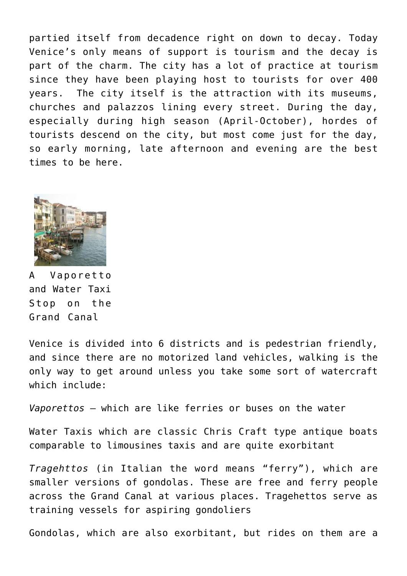partied itself from decadence right on down to decay. Today Venice's only means of support is tourism and the decay is part of the charm. The city has a lot of practice at tourism since they have been playing host to tourists for over 400 years. The city itself is the attraction with its museums, churches and palazzos lining every street. During the day, especially during high season (April-October), hordes of tourists descend on the city, but most come just for the day, so early morning, late afternoon and evening are the best times to be here.



A Vaporetto and Water Taxi Stop on the Grand Canal

Venice is divided into 6 districts and is pedestrian friendly, and since there are no motorized land vehicles, walking is the only way to get around unless you take some sort of watercraft which include:

*Vaporettos* – which are like ferries or buses on the water

Water Taxis which are classic Chris Craft type antique boats comparable to limousines taxis and are quite exorbitant

*Tragehttos* (in Italian the word means "ferry"), which are smaller versions of gondolas. These are free and ferry people across the Grand Canal at various places. Tragehettos serve as training vessels for aspiring gondoliers

Gondolas, which are also exorbitant, but rides on them are a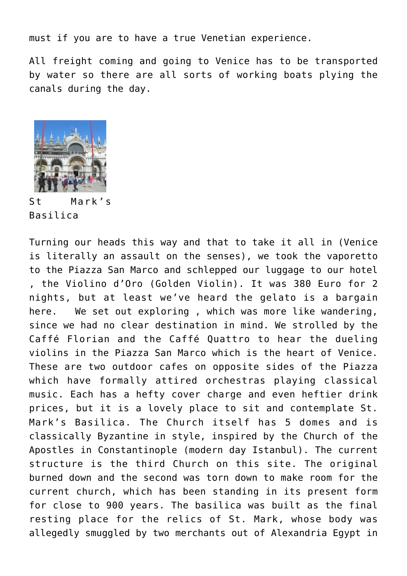must if you are to have a true Venetian experience.

All freight coming and going to Venice has to be transported by water so there are all sorts of working boats plying the canals during the day.



St Mark's Basilica

Turning our heads this way and that to take it all in (Venice is literally an assault on the senses), we took the vaporetto to the Piazza San Marco and schlepped our luggage to our hotel , the Violino d'Oro (Golden Violin). It was 380 Euro for 2 nights, but at least we've heard the gelato is a bargain here. We set out exploring , which was more like wandering, since we had no clear destination in mind. We strolled by the Caffé Florian and the Caffé Quattro to hear the dueling violins in the Piazza San Marco which is the heart of Venice. These are two outdoor cafes on opposite sides of the Piazza which have formally attired orchestras playing classical music. Each has a hefty cover charge and even heftier drink prices, but it is a lovely place to sit and contemplate St. Mark's Basilica. The Church itself has 5 domes and is classically Byzantine in style, inspired by the Church of the Apostles in Constantinople (modern day Istanbul). The current structure is the third Church on this site. The original burned down and the second was torn down to make room for the current church, which has been standing in its present form for close to 900 years. The basilica was built as the final resting place for the relics of St. Mark, whose body was allegedly smuggled by two merchants out of Alexandria Egypt in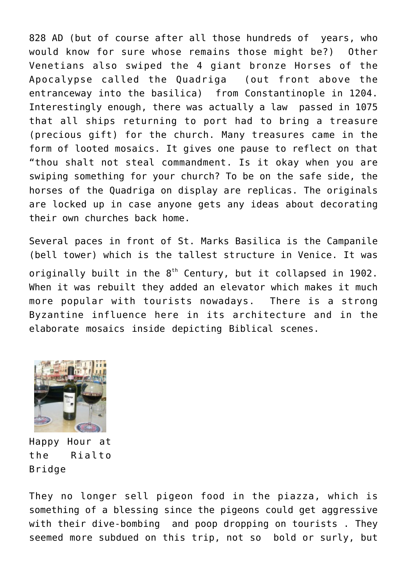828 AD (but of course after all those hundreds of years, who would know for sure whose remains those might be?) Other Venetians also swiped the 4 giant bronze Horses of the Apocalypse called the Quadriga (out front above the entranceway into the basilica) from Constantinople in 1204. Interestingly enough, there was actually a law passed in 1075 that all ships returning to port had to bring a treasure (precious gift) for the church. Many treasures came in the form of looted mosaics. It gives one pause to reflect on that "thou shalt not steal commandment. Is it okay when you are swiping something for your church? To be on the safe side, the horses of the Quadriga on display are replicas. The originals are locked up in case anyone gets any ideas about decorating their own churches back home.

Several paces in front of St. Marks Basilica is the Campanile (bell tower) which is the tallest structure in Venice. It was originally built in the 8<sup>th</sup> Century, but it collapsed in 1902. When it was rebuilt they added an elevator which makes it much more popular with tourists nowadays. There is a strong Byzantine influence here in its architecture and in the elaborate mosaics inside depicting Biblical scenes.



Happy Hour at the Rialto Bridge

They no longer sell pigeon food in the piazza, which is something of a blessing since the pigeons could get aggressive with their dive-bombing and poop dropping on tourists . They seemed more subdued on this trip, not so bold or surly, but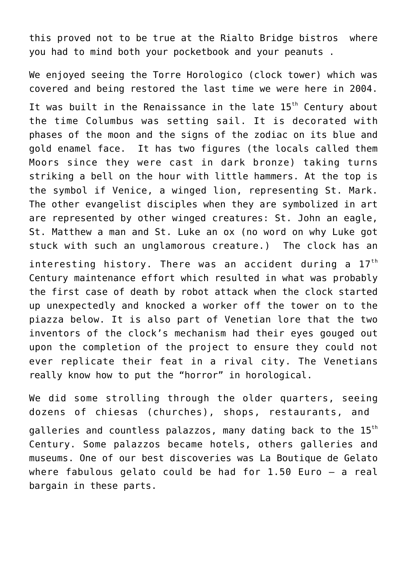this proved not to be true at the Rialto Bridge bistros where you had to mind both your pocketbook and your peanuts .

We enjoyed seeing the Torre Horologico (clock tower) which was covered and being restored the last time we were here in 2004. It was built in the Renaissance in the late 15<sup>th</sup> Century about the time Columbus was setting sail. It is decorated with phases of the moon and the signs of the zodiac on its blue and gold enamel face. It has two figures (the locals called them Moors since they were cast in dark bronze) taking turns striking a bell on the hour with little hammers. At the top is the symbol if Venice, a winged lion, representing St. Mark. The other evangelist disciples when they are symbolized in art are represented by other winged creatures: St. John an eagle, St. Matthew a man and St. Luke an ox (no word on why Luke got stuck with such an unglamorous creature.) The clock has an

interesting history. There was an accident during a  $17<sup>th</sup>$ Century maintenance effort which resulted in what was probably the first case of death by robot attack when the clock started up unexpectedly and knocked a worker off the tower on to the piazza below. It is also part of Venetian lore that the two inventors of the clock's mechanism had their eyes gouged out upon the completion of the project to ensure they could not ever replicate their feat in a rival city. The Venetians really know how to put the "horror" in horological.

We did some strolling through the older quarters, seeing dozens of chiesas (churches), shops, restaurants, and galleries and countless palazzos, many dating back to the 15<sup>th</sup> Century. Some palazzos became hotels, others galleries and museums. One of our best discoveries was La Boutique de Gelato where fabulous gelato could be had for 1.50 Euro – a real bargain in these parts.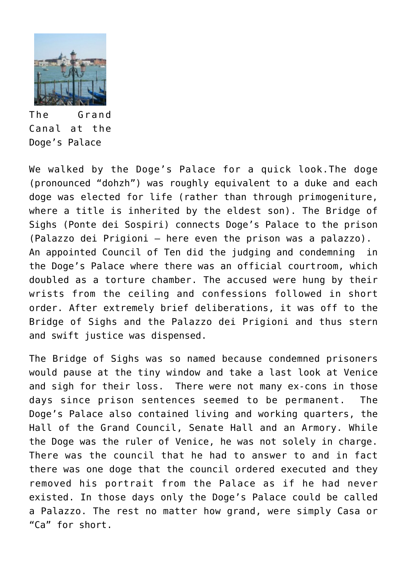

The Grand Canal at the Doge's Palace

We walked by the Doge's Palace for a quick look.The doge (pronounced "dohzh") was roughly equivalent to a duke and each doge was elected for life (rather than through primogeniture, where a title is inherited by the eldest son). The Bridge of Sighs (Ponte dei Sospiri) connects Doge's Palace to the prison (Palazzo dei Prigioni – here even the prison was a palazzo). An appointed Council of Ten did the judging and condemning in the Doge's Palace where there was an official courtroom, which doubled as a torture chamber. The accused were hung by their wrists from the ceiling and confessions followed in short order. After extremely brief deliberations, it was off to the Bridge of Sighs and the Palazzo dei Prigioni and thus stern and swift justice was dispensed.

The Bridge of Sighs was so named because condemned prisoners would pause at the tiny window and take a last look at Venice and sigh for their loss. There were not many ex-cons in those days since prison sentences seemed to be permanent. The Doge's Palace also contained living and working quarters, the Hall of the Grand Council, Senate Hall and an Armory. While the Doge was the ruler of Venice, he was not solely in charge. There was the council that he had to answer to and in fact there was one doge that the council ordered executed and they removed his portrait from the Palace as if he had never existed. In those days only the Doge's Palace could be called a Palazzo. The rest no matter how grand, were simply Casa or "Ca" for short.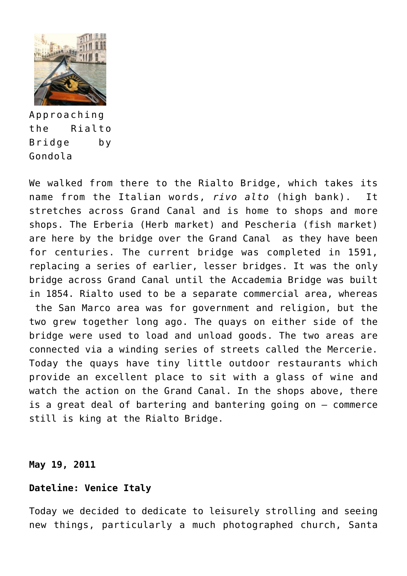

Approaching the Rialto Bridge by Gondola

We walked from there to the Rialto Bridge, which takes its name from the Italian words, *rivo alto* (high bank). It stretches across Grand Canal and is home to shops and more shops. The Erberia (Herb market) and Pescheria (fish market) are here by the bridge over the Grand Canal as they have been for centuries. The current bridge was completed in 1591, replacing a series of earlier, lesser bridges. It was the only bridge across Grand Canal until the Accademia Bridge was built in 1854. Rialto used to be a separate commercial area, whereas the San Marco area was for government and religion, but the two grew together long ago. The quays on either side of the bridge were used to load and unload goods. The two areas are connected via a winding series of streets called the Mercerie. Today the quays have tiny little outdoor restaurants which provide an excellent place to sit with a glass of wine and watch the action on the Grand Canal. In the shops above, there is a great deal of bartering and bantering going on – commerce still is king at the Rialto Bridge.

#### **May 19, 2011**

### **Dateline: Venice Italy**

Today we decided to dedicate to leisurely strolling and seeing new things, particularly a much photographed church, Santa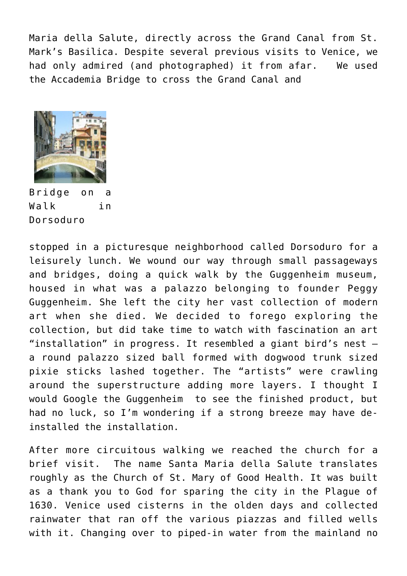Maria della Salute, directly across the Grand Canal from St. Mark's Basilica. Despite several previous visits to Venice, we had only admired (and photographed) it from afar. We used the Accademia Bridge to cross the Grand Canal and



Bridge on a Walk in Dorsoduro

stopped in a picturesque neighborhood called Dorsoduro for a leisurely lunch. We wound our way through small passageways and bridges, doing a quick walk by the Guggenheim museum, housed in what was a palazzo belonging to founder Peggy Guggenheim. She left the city her vast collection of modern art when she died. We decided to forego exploring the collection, but did take time to watch with fascination an art "installation" in progress. It resembled a giant bird's nest – a round palazzo sized ball formed with dogwood trunk sized pixie sticks lashed together. The "artists" were crawling around the superstructure adding more layers. I thought I would Google the Guggenheim to see the finished product, but had no luck, so I'm wondering if a strong breeze may have deinstalled the installation.

After more circuitous walking we reached the church for a brief visit. The name Santa Maria della Salute translates roughly as the Church of St. Mary of Good Health. It was built as a thank you to God for sparing the city in the Plague of 1630. Venice used cisterns in the olden days and collected rainwater that ran off the various piazzas and filled wells with it. Changing over to piped-in water from the mainland no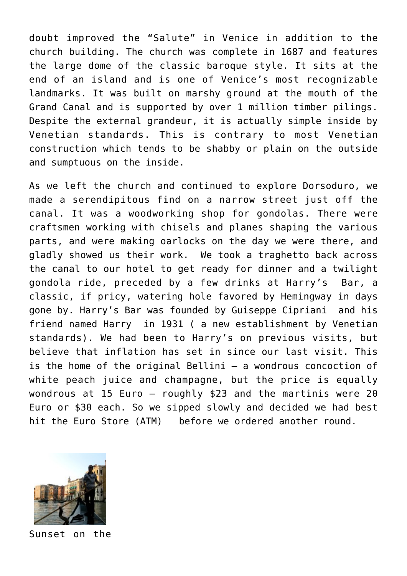doubt improved the "Salute" in Venice in addition to the church building. The church was complete in 1687 and features the large dome of the classic baroque style. It sits at the end of an island and is one of Venice's most recognizable landmarks. It was built on marshy ground at the mouth of the Grand Canal and is supported by over 1 million timber pilings. Despite the external grandeur, it is actually simple inside by Venetian standards. This is contrary to most Venetian construction which tends to be shabby or plain on the outside and sumptuous on the inside.

As we left the church and continued to explore Dorsoduro, we made a serendipitous find on a narrow street just off the canal. It was a woodworking shop for gondolas. There were craftsmen working with chisels and planes shaping the various parts, and were making oarlocks on the day we were there, and gladly showed us their work. We took a traghetto back across the canal to our hotel to get ready for dinner and a twilight gondola ride, preceded by a few drinks at Harry's Bar, a classic, if pricy, watering hole favored by Hemingway in days gone by. Harry's Bar was founded by Guiseppe Cipriani and his friend named Harry in 1931 ( a new establishment by Venetian standards). We had been to Harry's on previous visits, but believe that inflation has set in since our last visit. This is the home of the original Bellini – a wondrous concoction of white peach juice and champagne, but the price is equally wondrous at 15 Euro – roughly \$23 and the martinis were 20 Euro or \$30 each. So we sipped slowly and decided we had best hit the Euro Store (ATM) before we ordered another round.



Sunset on the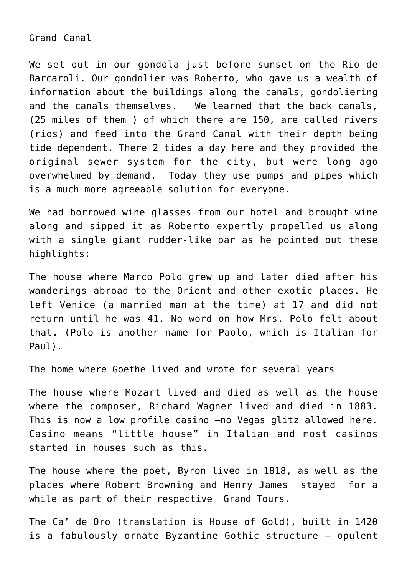Grand Canal

We set out in our gondola just before sunset on the Rio de Barcaroli. Our gondolier was Roberto, who gave us a wealth of information about the buildings along the canals, gondoliering and the canals themselves. We learned that the back canals, (25 miles of them ) of which there are 150, are called rivers (rios) and feed into the Grand Canal with their depth being tide dependent. There 2 tides a day here and they provided the original sewer system for the city, but were long ago overwhelmed by demand. Today they use pumps and pipes which is a much more agreeable solution for everyone.

We had borrowed wine glasses from our hotel and brought wine along and sipped it as Roberto expertly propelled us along with a single giant rudder-like oar as he pointed out these highlights:

The house where Marco Polo grew up and later died after his wanderings abroad to the Orient and other exotic places. He left Venice (a married man at the time) at 17 and did not return until he was 41. No word on how Mrs. Polo felt about that. (Polo is another name for Paolo, which is Italian for Paul).

The home where Goethe lived and wrote for several years

The house where Mozart lived and died as well as the house where the composer, Richard Wagner lived and died in 1883. This is now a low profile casino –no Vegas glitz allowed here. Casino means "little house" in Italian and most casinos started in houses such as this.

The house where the poet, Byron lived in 1818, as well as the places where Robert Browning and Henry James stayed for a while as part of their respective Grand Tours.

The Ca' de Oro (translation is House of Gold), built in 1420 is a fabulously ornate Byzantine Gothic structure – opulent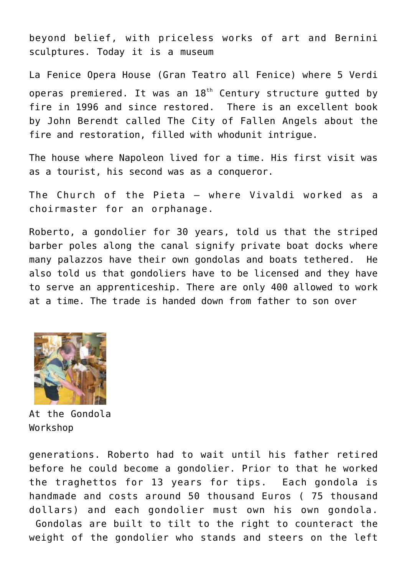beyond belief, with priceless works of art and Bernini sculptures. Today it is a museum

La Fenice Opera House (Gran Teatro all Fenice) where 5 Verdi operas premiered. It was an  $18<sup>th</sup>$  Century structure gutted by fire in 1996 and since restored. There is an excellent book by John Berendt called The City of Fallen Angels about the fire and restoration, filled with whodunit intrigue.

The house where Napoleon lived for a time. His first visit was as a tourist, his second was as a conqueror.

The Church of the Pieta – where Vivaldi worked as a choirmaster for an orphanage.

Roberto, a gondolier for 30 years, told us that the striped barber poles along the canal signify private boat docks where many palazzos have their own gondolas and boats tethered. He also told us that gondoliers have to be licensed and they have to serve an apprenticeship. There are only 400 allowed to work at a time. The trade is handed down from father to son over



At the Gondola Workshop

generations. Roberto had to wait until his father retired before he could become a gondolier. Prior to that he worked the traghettos for 13 years for tips. Each gondola is handmade and costs around 50 thousand Euros ( 75 thousand dollars) and each gondolier must own his own gondola. Gondolas are built to tilt to the right to counteract the weight of the gondolier who stands and steers on the left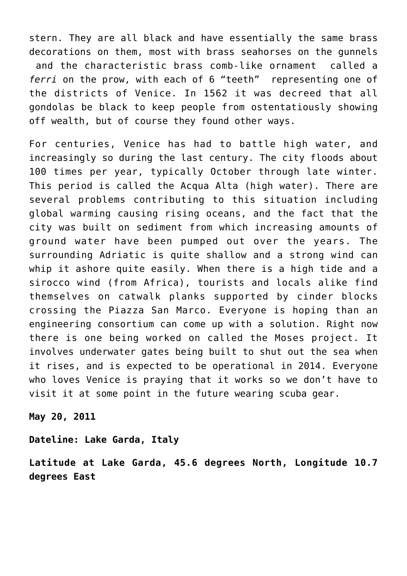stern. They are all black and have essentially the same brass decorations on them, most with brass seahorses on the gunnels and the characteristic brass comb-like ornament called a *ferri* on the prow, with each of 6 "teeth" representing one of the districts of Venice. In 1562 it was decreed that all gondolas be black to keep people from ostentatiously showing off wealth, but of course they found other ways.

For centuries, Venice has had to battle high water, and increasingly so during the last century. The city floods about 100 times per year, typically October through late winter. This period is called the Acqua Alta (high water). There are several problems contributing to this situation including global warming causing rising oceans, and the fact that the city was built on sediment from which increasing amounts of ground water have been pumped out over the years. The surrounding Adriatic is quite shallow and a strong wind can whip it ashore quite easily. When there is a high tide and a sirocco wind (from Africa), tourists and locals alike find themselves on catwalk planks supported by cinder blocks crossing the Piazza San Marco. Everyone is hoping than an engineering consortium can come up with a solution. Right now there is one being worked on called the Moses project. It involves underwater gates being built to shut out the sea when it rises, and is expected to be operational in 2014. Everyone who loves Venice is praying that it works so we don't have to visit it at some point in the future wearing scuba gear.

**May 20, 2011**

**Dateline: Lake Garda, Italy**

**Latitude at Lake Garda, 45.6 degrees North, Longitude 10.7 degrees East**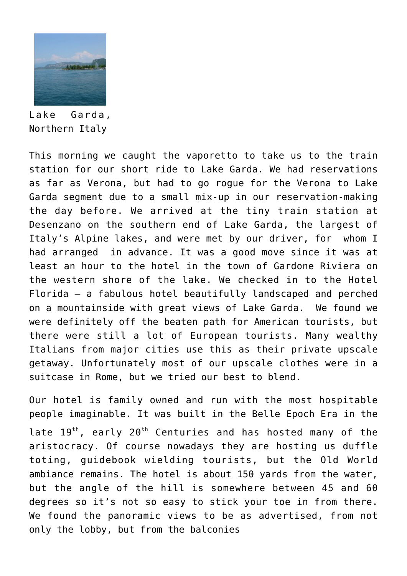

Lake Garda, Northern Italy

This morning we caught the vaporetto to take us to the train station for our short ride to Lake Garda. We had reservations as far as Verona, but had to go rogue for the Verona to Lake Garda segment due to a small mix-up in our reservation-making the day before. We arrived at the tiny train station at Desenzano on the southern end of Lake Garda, the largest of Italy's Alpine lakes, and were met by our driver, for whom I had arranged in advance. It was a good move since it was at least an hour to the hotel in the town of Gardone Riviera on the western shore of the lake. We checked in to the Hotel Florida – a fabulous hotel beautifully landscaped and perched on a mountainside with great views of Lake Garda. We found we were definitely off the beaten path for American tourists, but there were still a lot of European tourists. Many wealthy Italians from major cities use this as their private upscale getaway. Unfortunately most of our upscale clothes were in a suitcase in Rome, but we tried our best to blend.

Our hotel is family owned and run with the most hospitable people imaginable. It was built in the Belle Epoch Era in the late  $19^{th}$ , early  $20^{th}$  Centuries and has hosted many of the aristocracy. Of course nowadays they are hosting us duffle toting, guidebook wielding tourists, but the Old World ambiance remains. The hotel is about 150 yards from the water, but the angle of the hill is somewhere between 45 and 60 degrees so it's not so easy to stick your toe in from there. We found the panoramic views to be as advertised, from not only the lobby, but from the balconies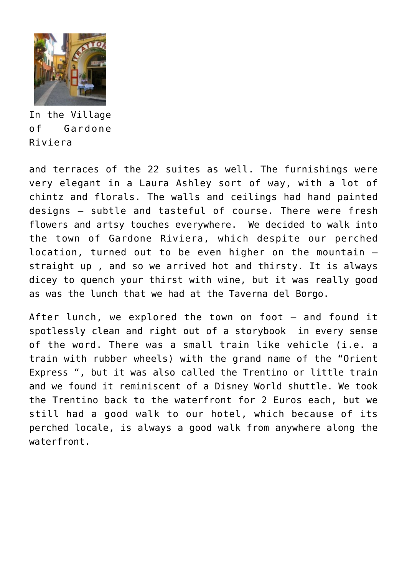

In the Village of Gardone Riviera

and terraces of the 22 suites as well. The furnishings were very elegant in a Laura Ashley sort of way, with a lot of chintz and florals. The walls and ceilings had hand painted designs – subtle and tasteful of course. There were fresh flowers and artsy touches everywhere. We decided to walk into the town of Gardone Riviera, which despite our perched location, turned out to be even higher on the mountain – straight up , and so we arrived hot and thirsty. It is always dicey to quench your thirst with wine, but it was really good as was the lunch that we had at the Taverna del Borgo.

After lunch, we explored the town on foot – and found it spotlessly clean and right out of a storybook in every sense of the word. There was a small train like vehicle (i.e. a train with rubber wheels) with the grand name of the "Orient Express ", but it was also called the Trentino or little train and we found it reminiscent of a Disney World shuttle. We took the Trentino back to the waterfront for 2 Euros each, but we still had a good walk to our hotel, which because of its perched locale, is always a good walk from anywhere along the waterfront.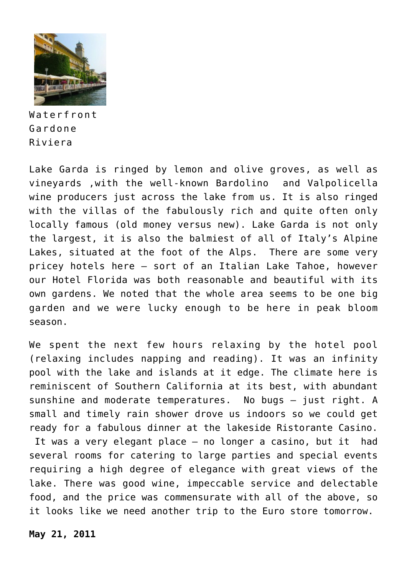

Waterfront Gardone Riviera

Lake Garda is ringed by lemon and olive groves, as well as vineyards ,with the well-known Bardolino and Valpolicella wine producers just across the lake from us. It is also ringed with the villas of the fabulously rich and quite often only locally famous (old money versus new). Lake Garda is not only the largest, it is also the balmiest of all of Italy's Alpine Lakes, situated at the foot of the Alps. There are some very pricey hotels here – sort of an Italian Lake Tahoe, however our Hotel Florida was both reasonable and beautiful with its own gardens. We noted that the whole area seems to be one big garden and we were lucky enough to be here in peak bloom season.

We spent the next few hours relaxing by the hotel pool (relaxing includes napping and reading). It was an infinity pool with the lake and islands at it edge. The climate here is reminiscent of Southern California at its best, with abundant sunshine and moderate temperatures. No bugs – just right. A small and timely rain shower drove us indoors so we could get ready for a fabulous dinner at the lakeside Ristorante Casino. It was a very elegant place – no longer a casino, but it had several rooms for catering to large parties and special events

requiring a high degree of elegance with great views of the lake. There was good wine, impeccable service and delectable food, and the price was commensurate with all of the above, so it looks like we need another trip to the Euro store tomorrow.

**May 21, 2011**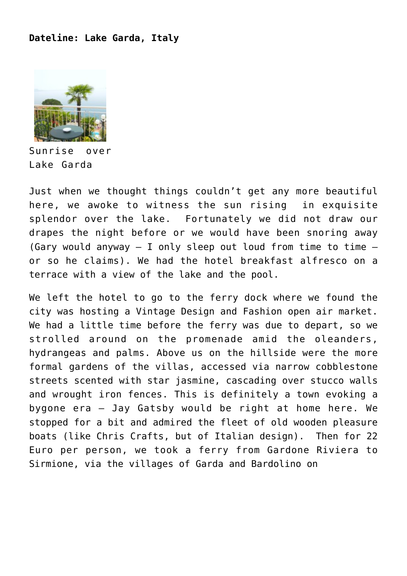## **Dateline: Lake Garda, Italy**



Sunrise over Lake Garda

Just when we thought things couldn't get any more beautiful here, we awoke to witness the sun rising in exquisite splendor over the lake. Fortunately we did not draw our drapes the night before or we would have been snoring away (Gary would anyway  $-$  I only sleep out loud from time to time  $$ or so he claims). We had the hotel breakfast alfresco on a terrace with a view of the lake and the pool.

We left the hotel to go to the ferry dock where we found the city was hosting a Vintage Design and Fashion open air market. We had a little time before the ferry was due to depart, so we strolled around on the promenade amid the oleanders, hydrangeas and palms. Above us on the hillside were the more formal gardens of the villas, accessed via narrow cobblestone streets scented with star jasmine, cascading over stucco walls and wrought iron fences. This is definitely a town evoking a bygone era – Jay Gatsby would be right at home here. We stopped for a bit and admired the fleet of old wooden pleasure boats (like Chris Crafts, but of Italian design). Then for 22 Euro per person, we took a ferry from Gardone Riviera to Sirmione, via the villages of Garda and Bardolino on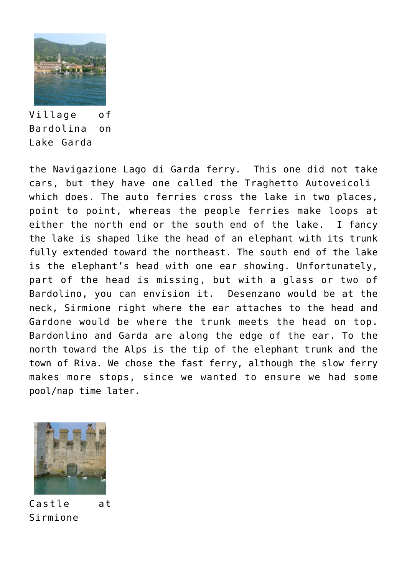

Village of Bardolina on Lake Garda

the Navigazione Lago di Garda ferry. This one did not take cars, but they have one called the Traghetto Autoveicoli which does. The auto ferries cross the lake in two places, point to point, whereas the people ferries make loops at either the north end or the south end of the lake. I fancy the lake is shaped like the head of an elephant with its trunk fully extended toward the northeast. The south end of the lake is the elephant's head with one ear showing. Unfortunately, part of the head is missing, but with a glass or two of Bardolino, you can envision it. Desenzano would be at the neck, Sirmione right where the ear attaches to the head and Gardone would be where the trunk meets the head on top. Bardonlino and Garda are along the edge of the ear. To the north toward the Alps is the tip of the elephant trunk and the town of Riva. We chose the fast ferry, although the slow ferry makes more stops, since we wanted to ensure we had some pool/nap time later.



Castle at Sirmione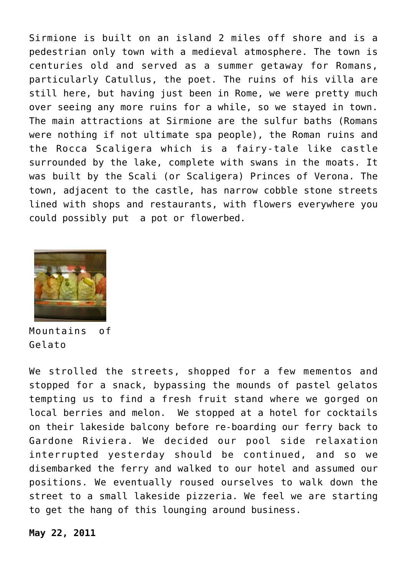Sirmione is built on an island 2 miles off shore and is a pedestrian only town with a medieval atmosphere. The town is centuries old and served as a summer getaway for Romans, particularly Catullus, the poet. The ruins of his villa are still here, but having just been in Rome, we were pretty much over seeing any more ruins for a while, so we stayed in town. The main attractions at Sirmione are the sulfur baths (Romans were nothing if not ultimate spa people), the Roman ruins and the Rocca Scaligera which is a fairy-tale like castle surrounded by the lake, complete with swans in the moats. It was built by the Scali (or Scaligera) Princes of Verona. The town, adjacent to the castle, has narrow cobble stone streets lined with shops and restaurants, with flowers everywhere you could possibly put a pot or flowerbed.



Mountains of Gelato

We strolled the streets, shopped for a few mementos and stopped for a snack, bypassing the mounds of pastel gelatos tempting us to find a fresh fruit stand where we gorged on local berries and melon. We stopped at a hotel for cocktails on their lakeside balcony before re-boarding our ferry back to Gardone Riviera. We decided our pool side relaxation interrupted yesterday should be continued, and so we disembarked the ferry and walked to our hotel and assumed our positions. We eventually roused ourselves to walk down the street to a small lakeside pizzeria. We feel we are starting to get the hang of this lounging around business.

**May 22, 2011**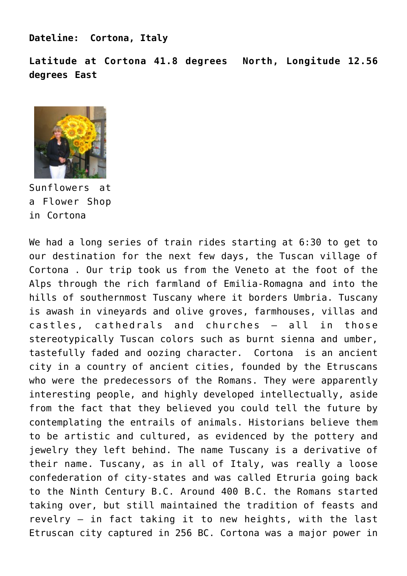**Dateline: Cortona, Italy**

**Latitude at Cortona 41.8 degrees North, Longitude 12.56 degrees East**



Sunflowers at a Flower Shop in Cortona

We had a long series of train rides starting at 6:30 to get to our destination for the next few days, the Tuscan village of Cortona . Our trip took us from the Veneto at the foot of the Alps through the rich farmland of Emilia-Romagna and into the hills of southernmost Tuscany where it borders Umbria. Tuscany is awash in vineyards and olive groves, farmhouses, villas and castles, cathedrals and churches – all in those stereotypically Tuscan colors such as burnt sienna and umber, tastefully faded and oozing character. Cortona is an ancient city in a country of ancient cities, founded by the Etruscans who were the predecessors of the Romans. They were apparently interesting people, and highly developed intellectually, aside from the fact that they believed you could tell the future by contemplating the entrails of animals. Historians believe them to be artistic and cultured, as evidenced by the pottery and jewelry they left behind. The name Tuscany is a derivative of their name. Tuscany, as in all of Italy, was really a loose confederation of city-states and was called Etruria going back to the Ninth Century B.C. Around 400 B.C. the Romans started taking over, but still maintained the tradition of feasts and revelry – in fact taking it to new heights, with the last Etruscan city captured in 256 BC. Cortona was a major power in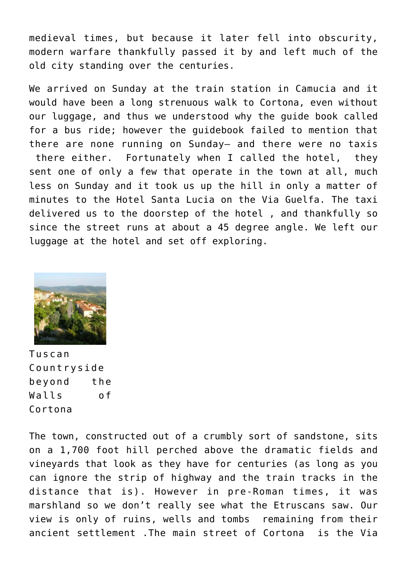medieval times, but because it later fell into obscurity, modern warfare thankfully passed it by and left much of the old city standing over the centuries.

We arrived on Sunday at the train station in Camucia and it would have been a long strenuous walk to Cortona, even without our luggage, and thus we understood why the guide book called for a bus ride; however the guidebook failed to mention that there are none running on Sunday– and there were no taxis there either. Fortunately when I called the hotel, they sent one of only a few that operate in the town at all, much less on Sunday and it took us up the hill in only a matter of minutes to the Hotel Santa Lucia on the Via Guelfa. The taxi delivered us to the doorstep of the hotel , and thankfully so since the street runs at about a 45 degree angle. We left our luggage at the hotel and set off exploring.



Tuscan Countryside beyond the Walls of Cortona

The town, constructed out of a crumbly sort of sandstone, sits on a 1,700 foot hill perched above the dramatic fields and vineyards that look as they have for centuries (as long as you can ignore the strip of highway and the train tracks in the distance that is). However in pre-Roman times, it was marshland so we don't really see what the Etruscans saw. Our view is only of ruins, wells and tombs remaining from their ancient settlement .The main street of Cortona is the Via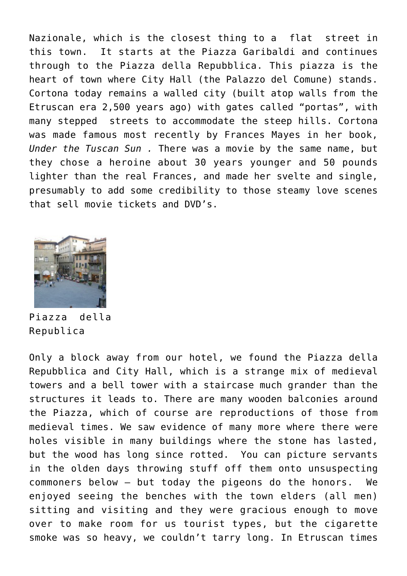Nazionale, which is the closest thing to a flat street in this town. It starts at the Piazza Garibaldi and continues through to the Piazza della Repubblica. This piazza is the heart of town where City Hall (the Palazzo del Comune) stands. Cortona today remains a walled city (built atop walls from the Etruscan era 2,500 years ago) with gates called "portas", with many stepped streets to accommodate the steep hills. Cortona was made famous most recently by Frances Mayes in her book, *Under the Tuscan Sun .* There was a movie by the same name, but they chose a heroine about 30 years younger and 50 pounds lighter than the real Frances, and made her svelte and single, presumably to add some credibility to those steamy love scenes that sell movie tickets and DVD's.



Piazza della Republica

Only a block away from our hotel, we found the Piazza della Repubblica and City Hall, which is a strange mix of medieval towers and a bell tower with a staircase much grander than the structures it leads to. There are many wooden balconies around the Piazza, which of course are reproductions of those from medieval times. We saw evidence of many more where there were holes visible in many buildings where the stone has lasted, but the wood has long since rotted. You can picture servants in the olden days throwing stuff off them onto unsuspecting commoners below – but today the pigeons do the honors. We enjoyed seeing the benches with the town elders (all men) sitting and visiting and they were gracious enough to move over to make room for us tourist types, but the cigarette smoke was so heavy, we couldn't tarry long. In Etruscan times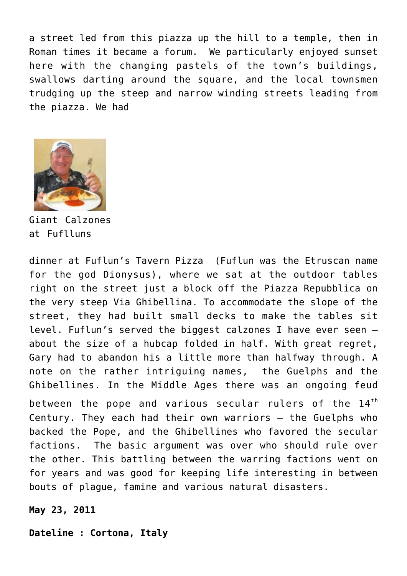a street led from this piazza up the hill to a temple, then in Roman times it became a forum. We particularly enjoyed sunset here with the changing pastels of the town's buildings, swallows darting around the square, and the local townsmen trudging up the steep and narrow winding streets leading from the piazza. We had



Giant Calzones at Fuflluns

dinner at Fuflun's Tavern Pizza (Fuflun was the Etruscan name for the god Dionysus), where we sat at the outdoor tables right on the street just a block off the Piazza Repubblica on the very steep Via Ghibellina. To accommodate the slope of the street, they had built small decks to make the tables sit level. Fuflun's served the biggest calzones I have ever seen – about the size of a hubcap folded in half. With great regret, Gary had to abandon his a little more than halfway through. A note on the rather intriguing names, the Guelphs and the Ghibellines. In the Middle Ages there was an ongoing feud

between the pope and various secular rulers of the  $14<sup>th</sup>$ Century. They each had their own warriors – the Guelphs who backed the Pope, and the Ghibellines who favored the secular factions. The basic argument was over who should rule over the other. This battling between the warring factions went on for years and was good for keeping life interesting in between bouts of plague, famine and various natural disasters.

**May 23, 2011**

**Dateline : Cortona, Italy**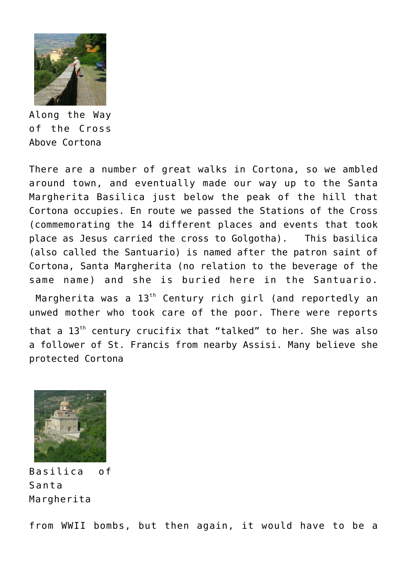

Along the Way of the Cross Above Cortona

There are a number of great walks in Cortona, so we ambled around town, and eventually made our way up to the Santa Margherita Basilica just below the peak of the hill that Cortona occupies. En route we passed the Stations of the Cross (commemorating the 14 different places and events that took place as Jesus carried the cross to Golgotha). This basilica (also called the Santuario) is named after the patron saint of Cortona, Santa Margherita (no relation to the beverage of the same name) and she is buried here in the Santuario.

Margherita was a 13<sup>th</sup> Century rich girl (and reportedly an unwed mother who took care of the poor. There were reports that a 13<sup>th</sup> century crucifix that "talked" to her. She was also a follower of St. Francis from nearby Assisi. Many believe she protected Cortona



Basilica of Santa Margherita

from WWII bombs, but then again, it would have to be a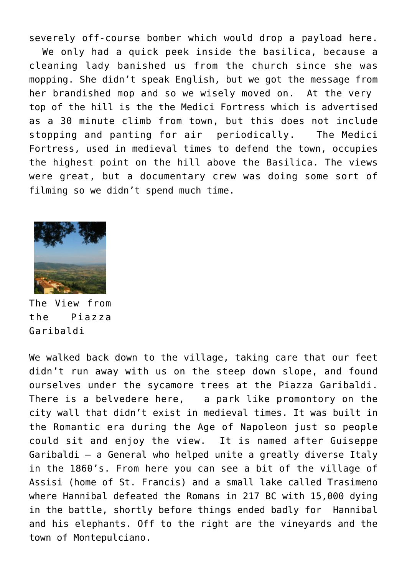severely off-course bomber which would drop a payload here.

 We only had a quick peek inside the basilica, because a cleaning lady banished us from the church since she was mopping. She didn't speak English, but we got the message from her brandished mop and so we wisely moved on. At the very top of the hill is the the Medici Fortress which is advertised as a 30 minute climb from town, but this does not include stopping and panting for air periodically. The Medici Fortress, used in medieval times to defend the town, occupies the highest point on the hill above the Basilica. The views were great, but a documentary crew was doing some sort of filming so we didn't spend much time.



The View from the Piazza Garibaldi

We walked back down to the village, taking care that our feet didn't run away with us on the steep down slope, and found ourselves under the sycamore trees at the Piazza Garibaldi. There is a belvedere here, a park like promontory on the city wall that didn't exist in medieval times. It was built in the Romantic era during the Age of Napoleon just so people could sit and enjoy the view. It is named after Guiseppe Garibaldi – a General who helped unite a greatly diverse Italy in the 1860's. From here you can see a bit of the village of Assisi (home of St. Francis) and a small lake called Trasimeno where Hannibal defeated the Romans in 217 BC with 15,000 dying in the battle, shortly before things ended badly for Hannibal and his elephants. Off to the right are the vineyards and the town of Montepulciano.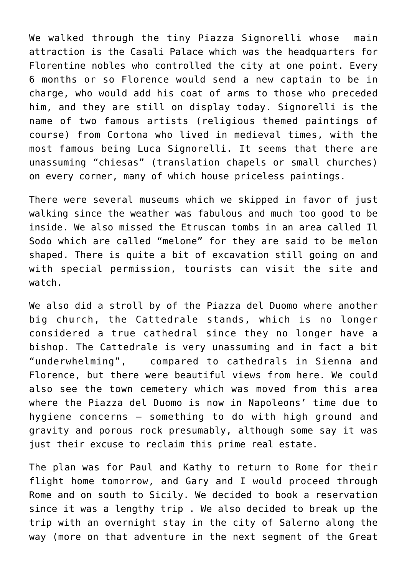We walked through the tiny Piazza Signorelli whose main attraction is the Casali Palace which was the headquarters for Florentine nobles who controlled the city at one point. Every 6 months or so Florence would send a new captain to be in charge, who would add his coat of arms to those who preceded him, and they are still on display today. Signorelli is the name of two famous artists (religious themed paintings of course) from Cortona who lived in medieval times, with the most famous being Luca Signorelli. It seems that there are unassuming "chiesas" (translation chapels or small churches) on every corner, many of which house priceless paintings.

There were several museums which we skipped in favor of just walking since the weather was fabulous and much too good to be inside. We also missed the Etruscan tombs in an area called Il Sodo which are called "melone" for they are said to be melon shaped. There is quite a bit of excavation still going on and with special permission, tourists can visit the site and watch.

We also did a stroll by of the Piazza del Duomo where another big church, the Cattedrale stands, which is no longer considered a true cathedral since they no longer have a bishop. The Cattedrale is very unassuming and in fact a bit "underwhelming", compared to cathedrals in Sienna and Florence, but there were beautiful views from here. We could also see the town cemetery which was moved from this area where the Piazza del Duomo is now in Napoleons' time due to hygiene concerns – something to do with high ground and gravity and porous rock presumably, although some say it was just their excuse to reclaim this prime real estate.

The plan was for Paul and Kathy to return to Rome for their flight home tomorrow, and Gary and I would proceed through Rome and on south to Sicily. We decided to book a reservation since it was a lengthy trip . We also decided to break up the trip with an overnight stay in the city of Salerno along the way (more on that adventure in the next segment of the Great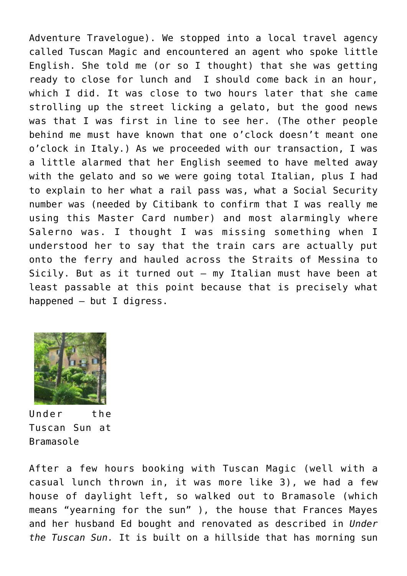Adventure Travelogue). We stopped into a local travel agency called Tuscan Magic and encountered an agent who spoke little English. She told me (or so I thought) that she was getting ready to close for lunch and I should come back in an hour, which I did. It was close to two hours later that she came strolling up the street licking a gelato, but the good news was that I was first in line to see her. (The other people behind me must have known that one o'clock doesn't meant one o'clock in Italy.) As we proceeded with our transaction, I was a little alarmed that her English seemed to have melted away with the gelato and so we were going total Italian, plus I had to explain to her what a rail pass was, what a Social Security number was (needed by Citibank to confirm that I was really me using this Master Card number) and most alarmingly where Salerno was. I thought I was missing something when I understood her to say that the train cars are actually put onto the ferry and hauled across the Straits of Messina to Sicily. But as it turned out – my Italian must have been at least passable at this point because that is precisely what happened – but I digress.



Under the Tuscan Sun at Bramasole

After a few hours booking with Tuscan Magic (well with a casual lunch thrown in, it was more like 3), we had a few house of daylight left, so walked out to Bramasole (which means "yearning for the sun" ), the house that Frances Mayes and her husband Ed bought and renovated as described in *Under the Tuscan Sun.* It is built on a hillside that has morning sun